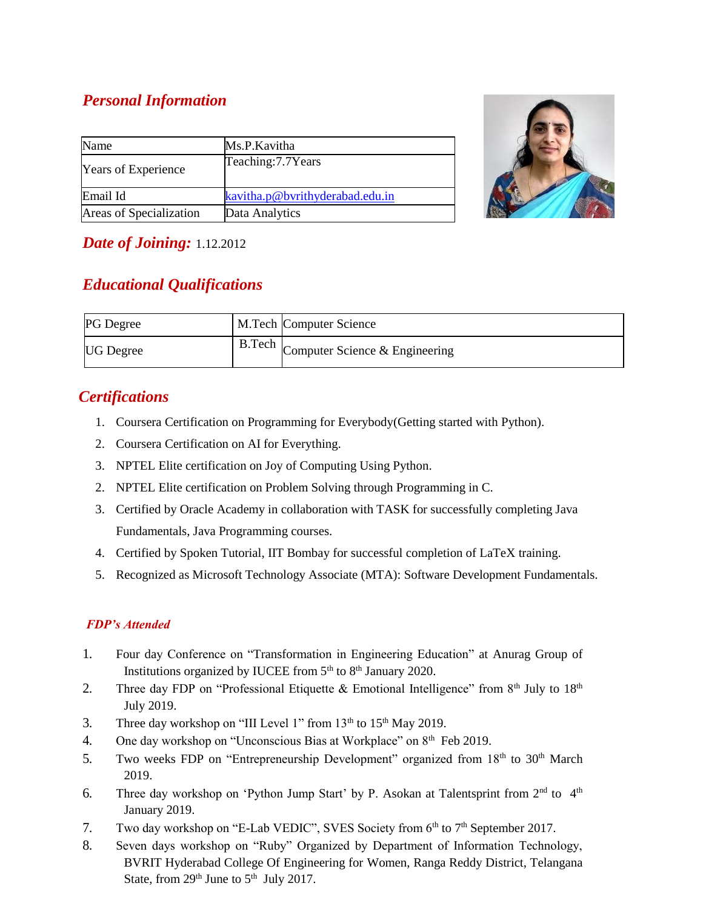# *Personal Information*

| Name                       | Ms.P.Kavitha                    |
|----------------------------|---------------------------------|
| <b>Years of Experience</b> | Teaching: 7.7 Years             |
| Email Id                   | kavitha.p@bvrithyderabad.edu.in |
| Areas of Specialization    | Data Analytics                  |



## *Date of Joining:* 1.12.2012

# *Educational Qualifications*

| <b>PG</b> Degree | M.Tech Computer Science               |
|------------------|---------------------------------------|
| <b>UG</b> Degree | B.Tech Computer Science & Engineering |

## *Certifications*

- 1. Coursera Certification on Programming for Everybody(Getting started with Python).
- 2. Coursera Certification on AI for Everything.
- 3. NPTEL Elite certification on Joy of Computing Using Python.
- 2. NPTEL Elite certification on Problem Solving through Programming in C.
- 3. Certified by Oracle Academy in collaboration with TASK for successfully completing Java Fundamentals, Java Programming courses.
- 4. Certified by Spoken Tutorial, IIT Bombay for successful completion of LaTeX training.
- 5. Recognized as Microsoft Technology Associate (MTA): Software Development Fundamentals.

#### *FDP's Attended*

- 1. Four day Conference on "Transformation in Engineering Education" at Anurag Group of Institutions organized by IUCEE from  $5<sup>th</sup>$  to  $8<sup>th</sup>$  January 2020.
- 2. Three day FDP on "Professional Etiquette & Emotional Intelligence" from  $8<sup>th</sup>$  July to  $18<sup>th</sup>$ July 2019.
- 3. Three day workshop on "III Level 1" from  $13<sup>th</sup>$  to  $15<sup>th</sup>$  May 2019.
- 4. One day workshop on "Unconscious Bias at Workplace" on 8<sup>th</sup> Feb 2019.
- 5. Two weeks FDP on "Entrepreneurship Development" organized from 18<sup>th</sup> to 30<sup>th</sup> March 2019.
- 6. Three day workshop on 'Python Jump Start' by P. Asokan at Talentsprint from  $2<sup>nd</sup>$  to  $4<sup>th</sup>$ January 2019.
- 7. Two day workshop on "E-Lab VEDIC", SVES Society from 6<sup>th</sup> to 7<sup>th</sup> September 2017.
- 8. Seven days workshop on "Ruby" Organized by Department of Information Technology, BVRIT Hyderabad College Of Engineering for Women, Ranga Reddy District, Telangana State, from  $29<sup>th</sup>$  June to  $5<sup>th</sup>$  July 2017.